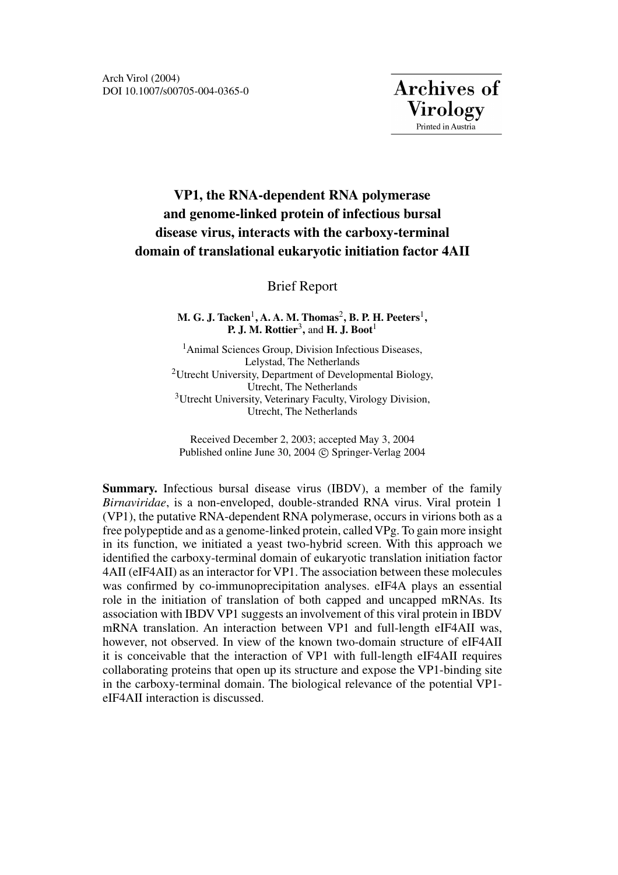# **VP1, the RNA-dependent RNA polymerase and genome-linked protein of infectious bursal disease virus, interacts with the carboxy-terminal domain of translational eukaryotic initiation factor 4AII**

# Brief Report

**M. G. J. Tacken<sup>1</sup>, A. A. M. Thomas<sup>2</sup>, B. P. H. Peeters<sup>1</sup>, P. J. M. Rottier**3**,** and **H. J. Boot**<sup>1</sup>

<sup>1</sup>Animal Sciences Group, Division Infectious Diseases, Lelystad, The Netherlands 2Utrecht University, Department of Developmental Biology, Utrecht, The Netherlands 3Utrecht University, Veterinary Faculty, Virology Division, Utrecht, The Netherlands

Received December 2, 2003; accepted May 3, 2004 Published online June 30, 2004 C Springer-Verlag 2004

**Summary.** Infectious bursal disease virus (IBDV), a member of the family *Birnaviridae*, is a non-enveloped, double-stranded RNA virus. Viral protein 1 (VP1), the putative RNA-dependent RNA polymerase, occurs in virions both as a free polypeptide and as a genome-linked protein, called VPg. To gain more insight in its function, we initiated a yeast two-hybrid screen. With this approach we identified the carboxy-terminal domain of eukaryotic translation initiation factor 4AII (eIF4AII) as an interactor for VP1. The association between these molecules was confirmed by co-immunoprecipitation analyses. eIF4A plays an essential role in the initiation of translation of both capped and uncapped mRNAs. Its association with IBDV VP1 suggests an involvement of this viral protein in IBDV mRNA translation. An interaction between VP1 and full-length eIF4AII was, however, not observed. In view of the known two-domain structure of eIF4AII it is conceivable that the interaction of VP1 with full-length eIF4AII requires collaborating proteins that open up its structure and expose the VP1-binding site in the carboxy-terminal domain. The biological relevance of the potential VP1 eIF4AII interaction is discussed.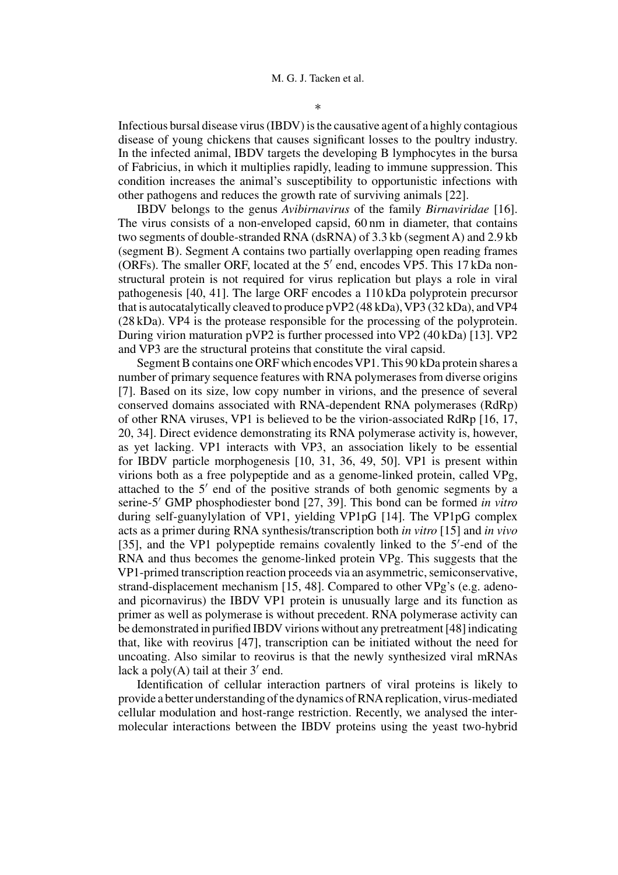Infectious bursal disease virus (IBDV) is the causative agent of a highly contagious disease of young chickens that causes significant losses to the poultry industry. In the infected animal, IBDV targets the developing B lymphocytes in the bursa of Fabricius, in which it multiplies rapidly, leading to immune suppression. This condition increases the animal's susceptibility to opportunistic infections with other pathogens and reduces the growth rate of surviving animals [22].

IBDV belongs to the genus *Avibirnavirus* of the family *Birnaviridae* [16]. The virus consists of a non-enveloped capsid, 60 nm in diameter, that contains two segments of double-stranded RNA (dsRNA) of 3.3 kb (segment A) and 2.9 kb (segment B). Segment A contains two partially overlapping open reading frames (ORFs). The smaller ORF, located at the  $5'$  end, encodes VP5. This 17 kDa nonstructural protein is not required for virus replication but plays a role in viral pathogenesis [40, 41]. The large ORF encodes a 110 kDa polyprotein precursor that is autocatalytically cleaved to produce  $pVP2$  (48 kDa), VP3 (32 kDa), and VP4 (28 kDa). VP4 is the protease responsible for the processing of the polyprotein. During virion maturation pVP2 is further processed into VP2 (40 kDa) [13]. VP2 and VP3 are the structural proteins that constitute the viral capsid.

Segment B contains one ORF which encodes VP1. This 90 kDa protein shares a number of primary sequence features with RNA polymerases from diverse origins [7]. Based on its size, low copy number in virions, and the presence of several conserved domains associated with RNA-dependent RNA polymerases (RdRp) of other RNA viruses, VP1 is believed to be the virion-associated RdRp [16, 17, 20, 34]. Direct evidence demonstrating its RNA polymerase activity is, however, as yet lacking. VP1 interacts with VP3, an association likely to be essential for IBDV particle morphogenesis [10, 31, 36, 49, 50]. VP1 is present within virions both as a free polypeptide and as a genome-linked protein, called VPg, attached to the  $5'$  end of the positive strands of both genomic segments by a serine-5 GMP phosphodiester bond [27, 39]. This bond can be formed *in vitro* during self-guanylylation of VP1, yielding VP1pG [14]. The VP1pG complex acts as a primer during RNA synthesis/transcription both *in vitro* [15] and *in vivo* [35], and the VP1 polypeptide remains covalently linked to the 5'-end of the RNA and thus becomes the genome-linked protein VPg. This suggests that the VP1-primed transcription reaction proceeds via an asymmetric, semiconservative, strand-displacement mechanism [15, 48]. Compared to other VPg's (e.g. adenoand picornavirus) the IBDV VP1 protein is unusually large and its function as primer as well as polymerase is without precedent. RNA polymerase activity can be demonstrated in purified IBDV virions without any pretreatment [48] indicating that, like with reovirus [47], transcription can be initiated without the need for uncoating. Also similar to reovirus is that the newly synthesized viral mRNAs lack a poly $(A)$  tail at their 3' end.

Identification of cellular interaction partners of viral proteins is likely to provide a better understanding of the dynamics of RNA replication, virus-mediated cellular modulation and host-range restriction. Recently, we analysed the intermolecular interactions between the IBDV proteins using the yeast two-hybrid

∗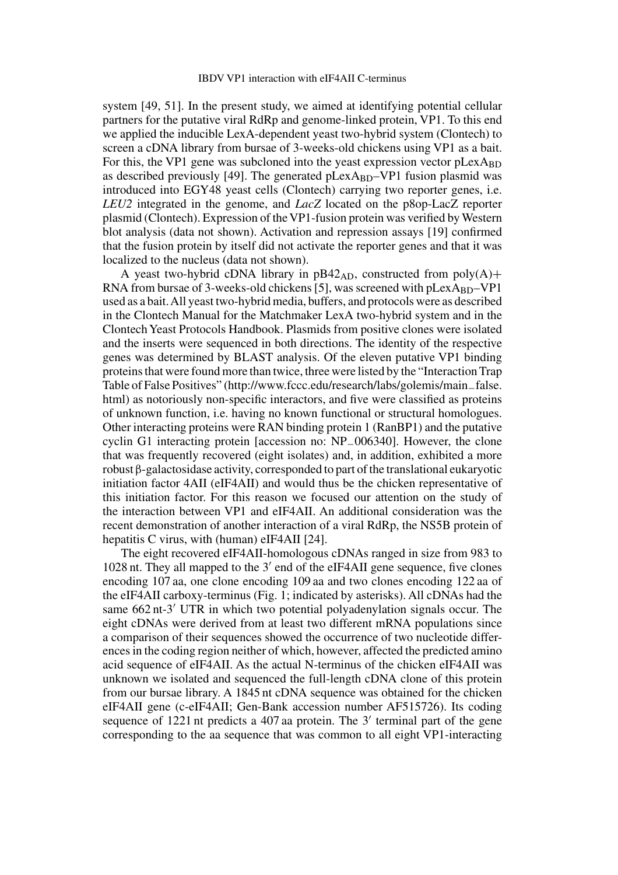system [49, 51]. In the present study, we aimed at identifying potential cellular partners for the putative viral RdRp and genome-linked protein, VP1. To this end we applied the inducible LexA-dependent yeast two-hybrid system (Clontech) to screen a cDNA library from bursae of 3-weeks-old chickens using VP1 as a bait. For this, the VP1 gene was subcloned into the yeast expression vector  $pLexA_{BD}$ as described previously [49]. The generated  $pLexA_{BD}-VP1$  fusion plasmid was introduced into EGY48 yeast cells (Clontech) carrying two reporter genes, i.e. *LEU2* integrated in the genome, and *LacZ* located on the p8op-LacZ reporter plasmid (Clontech). Expression of the VP1-fusion protein was verified byWestern blot analysis (data not shown). Activation and repression assays [19] confirmed that the fusion protein by itself did not activate the reporter genes and that it was localized to the nucleus (data not shown).

A yeast two-hybrid cDNA library in  $pB42_{AD}$ , constructed from  $poly(A)$ + RNA from bursae of 3-weeks-old chickens [5], was screened with  $pLexA_{BD}-VP1$ used as a bait.All yeast two-hybrid media, buffers, and protocols were as described in the Clontech Manual for the Matchmaker LexA two-hybrid system and in the Clontech Yeast Protocols Handbook. Plasmids from positive clones were isolated and the inserts were sequenced in both directions. The identity of the respective genes was determined by BLAST analysis. Of the eleven putative VP1 binding proteins that were found more than twice, three were listed by the "Interaction Trap Table of False Positives" (http://www.fccc.edu/research/labs/golemis/main−false. html) as notoriously non-specific interactors, and five were classified as proteins of unknown function, i.e. having no known functional or structural homologues. Other interacting proteins were RAN binding protein 1 (RanBP1) and the putative cyclin G1 interacting protein [accession no: NP−006340]. However, the clone that was frequently recovered (eight isolates) and, in addition, exhibited a more robust β-galactosidase activity, corresponded to part of the translational eukaryotic initiation factor 4AII (eIF4AII) and would thus be the chicken representative of this initiation factor. For this reason we focused our attention on the study of the interaction between VP1 and eIF4AII. An additional consideration was the recent demonstration of another interaction of a viral RdRp, the NS5B protein of hepatitis C virus, with (human) eIF4AII [24].

The eight recovered eIF4AII-homologous cDNAs ranged in size from 983 to 1028 nt. They all mapped to the  $3'$  end of the eIF4AII gene sequence, five clones encoding 107 aa, one clone encoding 109 aa and two clones encoding 122 aa of the eIF4AII carboxy-terminus (Fig. 1; indicated by asterisks). All cDNAs had the same 662 nt-3' UTR in which two potential polyadenylation signals occur. The eight cDNAs were derived from at least two different mRNA populations since a comparison of their sequences showed the occurrence of two nucleotide differences in the coding region neither of which, however, affected the predicted amino acid sequence of eIF4AII. As the actual N-terminus of the chicken eIF4AII was unknown we isolated and sequenced the full-length cDNA clone of this protein from our bursae library. A 1845 nt cDNA sequence was obtained for the chicken eIF4AII gene (c-eIF4AII; Gen-Bank accession number AF515726). Its coding sequence of 1221 nt predicts a 407 aa protein. The  $3'$  terminal part of the gene corresponding to the aa sequence that was common to all eight VP1-interacting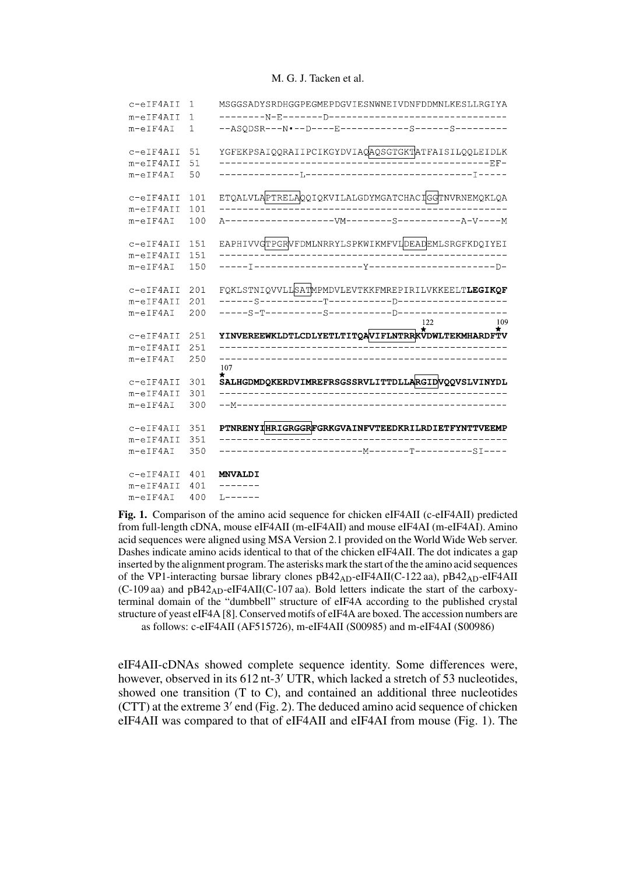## M. G. J. Tacken et al.

| MSGGSADYSRDHGGPEGMEPDGVIESNWNEIVDNFDDMNLKESLLRGIYA<br>1   | c-eIF4AII        |
|-----------------------------------------------------------|------------------|
| $\mathbf 1$                                               | m-eIF4AII        |
| --ASQDSR---N.--D----E------------S------S--------<br>1    | $m-eIF4AI$       |
| YGFEKPSAIQQRAIIPCIKGYDVIAQAQSGTGKTATFAISILQQLEIDLK<br>51  | c-eIF4AII        |
| 51<br>------------RF-                                     | m-eIF4AII        |
| 50                                                        | $m-eIF4AI$       |
| ETQALVLAPTRELAQQIQKVILALGDYMGATCHACIGGTNVRNEMQKLQA<br>101 | c-eIF4AII        |
| 101                                                       | $m$ -eIF4AII     |
| $--VM------S---$<br>100<br>$---A-V---M$<br>$A$ - - - -    | $m$ -eIF4AI      |
| EAPHIVVGTPGRVFDMLNRRYLSPKWIKMFVLDEADEMLSRGFKDQIYEI<br>151 | c-eIF4AII        |
| 151                                                       | $m-eIFAAII$      |
| 150                                                       | $m-eIF4AI$       |
| FQKLSTNIQVVLLSATMPMDVLEVTKKFMREPIRILVKKEELTLEGIKQF<br>201 | c-eIF4AII        |
| 201                                                       | m-eIF4AII        |
| 200<br>122<br>109                                         | $m-eIF4AI$       |
| YINVEREEWKLDTLCDLYETLTITQAVIFLNTRRKVDWLTEKMHARDFTV<br>251 | c-eIF4AII        |
| 251                                                       | m-eIF4AII        |
| 250                                                       | $m-eIF4AI$       |
| 107<br>$\star$                                            |                  |
| SALHGDMDQKERDVIMREFRSGSSRVLITTDLLARGIDVQQVSLVINYDL<br>301 | c-eIF4AII        |
| 301                                                       | m-eIF4AII        |
| ______________________________<br>300<br>––M–––––         | $m-eIF4AI$       |
| PTNRENYIHRIGRGGRFGRKGVAINFVTEEDKRILRDIETFYNTTVEEMP<br>351 | c-eIF4AII        |
| 351                                                       | m-eIF4AII        |
| 350                                                       | $m-eIF4AI$       |
| 401<br><b>MNVALDI</b>                                     | $c$ -eIF $4$ AII |
| 401<br>------                                             | m-eIF4AII        |
| 400<br>L------                                            | $m-eIF4AI$       |

**Fig. 1.** Comparison of the amino acid sequence for chicken eIF4AII (c-eIF4AII) predicted from full-length cDNA, mouse eIF4AII (m-eIF4AII) and mouse eIF4AI (m-eIF4AI). Amino acid sequences were aligned using MSA Version 2.1 provided on the World Wide Web server. Dashes indicate amino acids identical to that of the chicken eIF4AII. The dot indicates a gap inserted by the alignment program. The asterisks mark the start of the the amino acid sequences of the VP1-interacting bursae library clones pB42AD-eIF4AII(C-122 aa), pB42AD-eIF4AII  $(C-109$  aa) and  $pB42<sub>AD</sub>$ -eIF4AII(C-107 aa). Bold letters indicate the start of the carboxyterminal domain of the "dumbbell" structure of eIF4A according to the published crystal structure of yeast eIF4A [8]. Conserved motifs of eIF4A are boxed. The accession numbers are as follows: c-eIF4AII (AF515726), m-eIF4AII (S00985) and m-eIF4AI (S00986)

eIF4AII-cDNAs showed complete sequence identity. Some differences were, however, observed in its 612 nt-3' UTR, which lacked a stretch of 53 nucleotides, showed one transition (T to C), and contained an additional three nucleotides (CTT) at the extreme  $3'$  end (Fig. 2). The deduced amino acid sequence of chicken eIF4AII was compared to that of eIF4AII and eIF4AI from mouse (Fig. 1). The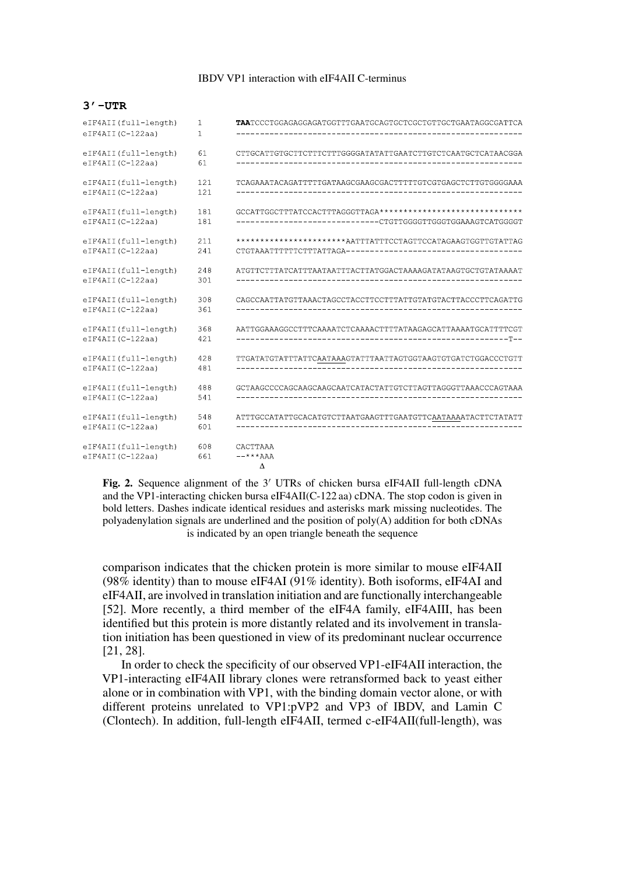# IBDV VP1 interaction with eIF4AII C-terminus

#### $3'$  -UTR

| eIF4AII(full-length)                     | $\mathbf{1}$ | <b>TAA</b> TCCCTGGAGAGGAGATGGTTTGAATGCAGTGCTCGCTGTTGCTGAATAGGCGATTCA |
|------------------------------------------|--------------|----------------------------------------------------------------------|
| eIF4AII(C-122aa)                         | $\mathbf{1}$ |                                                                      |
| eIF4AII(full-length)<br>eIF4AII(C-122aa) | 61<br>61     | CTTGCATTGTGCTTCTTTCTTTGGGGATATATTGAATCTTGTCTCAATGCTCATAACGGA         |
| eIF4AII(full-length)<br>eIF4AII(C-122aa) | 121<br>121   | TCAGAAATACAGATTTTTGATAAGCGAAGCGACTTTTTGTCGTGAGCTCTTGTGGGGAAA         |
| eIF4AII(full-length)                     | 181          |                                                                      |
| eIF4AII(C-122aa)                         | 181          | -----------------------------CTGTTGGGGTTGGGTGGAAAGTCATGGGGT          |
| eIF4AII(full-length)                     | 211          | **********************AATTTATTTCCTAGTTCCATAGAAGTGGTTGTATTAG          |
| eIF4AII(C-122aa)                         | 241          |                                                                      |
| eIF4AII(full-length)                     | 248          | ATGTTCTTTATCATTTAATAATTTACTTATGGACTAAAAGATATAAGTGCTGTATAAAAT         |
| eIF4AII(C-122aa)                         | 301          |                                                                      |
| eIF4AII(full-length)<br>eIF4AII(C-122aa) | 308<br>361   |                                                                      |
| eIF4AII(full-length)                     | 368          | AATTGGAAAGGCCTTTCAAAATCTCAAAACTTTTATAAGAGCATTAAAATGCATTTTCGT         |
| eIF4AII(C-122aa)                         | 421          |                                                                      |
| eIF4AII(full-length)                     | 428          | TTGATATGTATTTATTCAATAAAGTATTTAATTAGTGGTAAGTGTGATCTGGACCCTGTT         |
| eIF4AII(C-122aa)                         | 481          |                                                                      |
| eIF4AII(full-length)                     | 488          |                                                                      |
| eIF4AII(C-122aa)                         | 541          |                                                                      |
| eIF4AII(full-length)                     | 548          | ATTTGCCATATTGCACATGTCTTAATGAAGTTTGAATGTTCAATAAAATACTTCTATATT         |
| eIF4AII(C-122aa)                         | 601          |                                                                      |
| eIF4AII(full-length)<br>eIF4AII(C-122aa) | 608<br>661   | CACTTAAA<br>$---***AAA$<br>$\Delta$                                  |

Fig. 2. Sequence alignment of the 3' UTRs of chicken bursa eIF4AII full-length cDNA and the VP1-interacting chicken bursa eIF4AII(C-122 aa) cDNA. The stop codon is given in bold letters. Dashes indicate identical residues and asterisks mark missing nucleotides. The polyadenylation signals are underlined and the position of poly(A) addition for both cDNAs is indicated by an open triangle beneath the sequence

comparison indicates that the chicken protein is more similar to mouse eIF4AII (98% identity) than to mouse eIF4AI (91% identity). Both isoforms, eIF4AI and eIF4AII, are involved in translation initiation and are functionally interchangeable [52]. More recently, a third member of the eIF4A family, eIF4AIII, has been identified but this protein is more distantly related and its involvement in translation initiation has been questioned in view of its predominant nuclear occurrence [21, 28].

In order to check the specificity of our observed VP1-eIF4AII interaction, the VP1-interacting eIF4AII library clones were retransformed back to yeast either alone or in combination with VP1, with the binding domain vector alone, or with different proteins unrelated to VP1:pVP2 and VP3 of IBDV, and Lamin C (Clontech). In addition, full-length eIF4AII, termed c-eIF4AII(full-length), was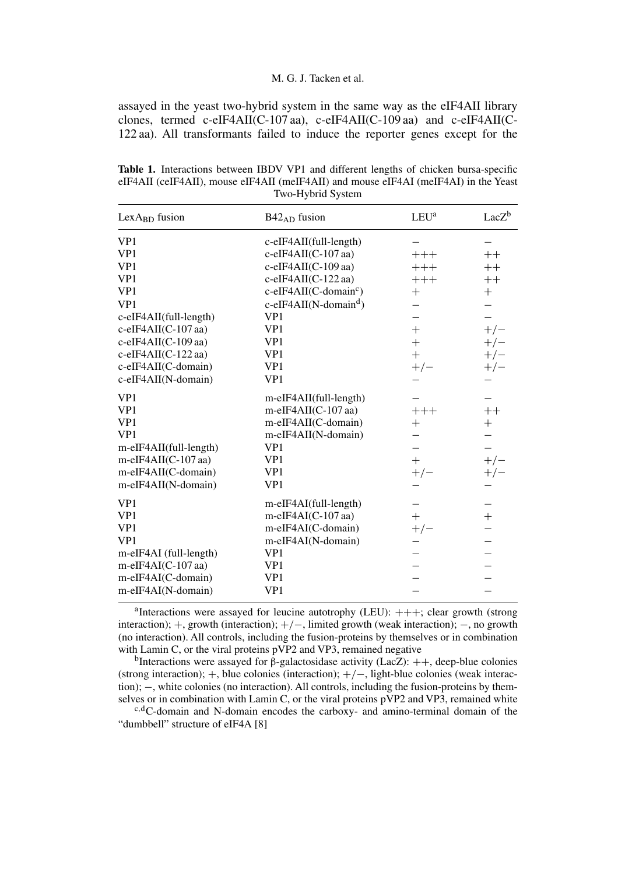# M. G. J. Tacken et al.

assayed in the yeast two-hybrid system in the same way as the eIF4AII library clones, termed c-eIF4AII(C-107 aa), c-eIF4AII(C-109 aa) and c-eIF4AII(C-122 aa). All transformants failed to induce the reporter genes except for the

**Table 1.** Interactions between IBDV VP1 and different lengths of chicken bursa-specific eIF4AII (ceIF4AII), mouse eIF4AII (meIF4AII) and mouse eIF4AI (meIF4AI) in the Yeast Two-Hybrid System

| LexA <sub>BD</sub> fusion | $B42_{AD}$ fusion                    | $LEU^a$ | $LacZ^b$                 |
|---------------------------|--------------------------------------|---------|--------------------------|
| VP1                       | c-eIF4AII(full-length)               |         |                          |
| VP1                       | $c$ -eIF4AII(C-107 aa)               | $+++$   | $++$                     |
| VP1                       | $c$ -eIF4AII(C-109 aa)               | $+++$   | $++$                     |
| VP1                       | $c$ -eIF4AII(C-122 aa)               | $+++$   | $++$                     |
| VP1                       | $c$ -eIF4AII(C-domain <sup>c</sup> ) | $^{+}$  | $+$                      |
| VP1                       | $c$ -eIF4AII(N-domain <sup>d</sup> ) |         |                          |
| c-eIF4AII(full-length)    | VP1                                  |         |                          |
| c-eIF4AII(C-107 aa)       | VP1                                  | $^{+}$  | $+/-$                    |
| c-eIF4AII(C-109 aa)       | VP1                                  | $+$     | $+/-$                    |
| $c$ -eIF4AII(C-122 aa)    | VP1                                  | $^{+}$  | $+/-$                    |
| c-eIF4AII(C-domain)       | VP1                                  | $+/-$   | $+/-$                    |
| c-eIF4AII(N-domain)       | VP1                                  |         |                          |
| VP1                       | m-eIF4AII(full-length)               |         |                          |
| VP1                       | m-eIF4AII(C-107 aa)                  | $+++$   | $++$                     |
| VP1                       | m-eIF4AII(C-domain)                  |         | $+$                      |
| VP1                       | m-eIF4AII(N-domain)                  |         |                          |
| m-eIF4AII(full-length)    | VP1                                  |         |                          |
| m-eIF4AII(C-107 aa)       | VP1                                  | $+$     | $+/-$                    |
| m-eIF4AII(C-domain)       | VP1                                  | $+/-$   | $+/-$                    |
| m-eIF4AII(N-domain)       | VP1                                  |         |                          |
| VP1                       | m-eIF4AI(full-length)                |         | $\overline{\phantom{0}}$ |
| VP1                       | m-eIF4AI(C-107 aa)                   | $+$     | $+$                      |
| VP1                       | m-eIF4AI(C-domain)                   | $+/-$   |                          |
| VP1                       | m-eIF4AI(N-domain)                   |         |                          |
| m-eIF4AI (full-length)    | VP1                                  |         |                          |
| m-eIF4AI(C-107 aa)        | VP1                                  |         |                          |
| m-eIF4AI(C-domain)        | VP1                                  |         |                          |
| m-eIF4AI(N-domain)        | VP1                                  |         |                          |

<sup>a</sup>Interactions were assayed for leucine autotrophy (LEU):  $+++$ ; clear growth (strong interaction); +, growth (interaction); +/−, limited growth (weak interaction); −, no growth (no interaction). All controls, including the fusion-proteins by themselves or in combination with Lamin C, or the viral proteins pVP2 and VP3, remained negative

<sup>b</sup>Interactions were assayed for β-galactosidase activity (LacZ):  $++$ , deep-blue colonies (strong interaction); +, blue colonies (interaction); +/−, light-blue colonies (weak interaction);  $-$ , white colonies (no interaction). All controls, including the fusion-proteins by them-<br>selves or in combination with Lamin C, or the viral proteins  $pVP2$  and  $VP3$ , remained white

 $s, d$ C-domain and N-domain encodes the carboxy- and amino-terminal domain of the "dumbbell" structure of eIF4A [8]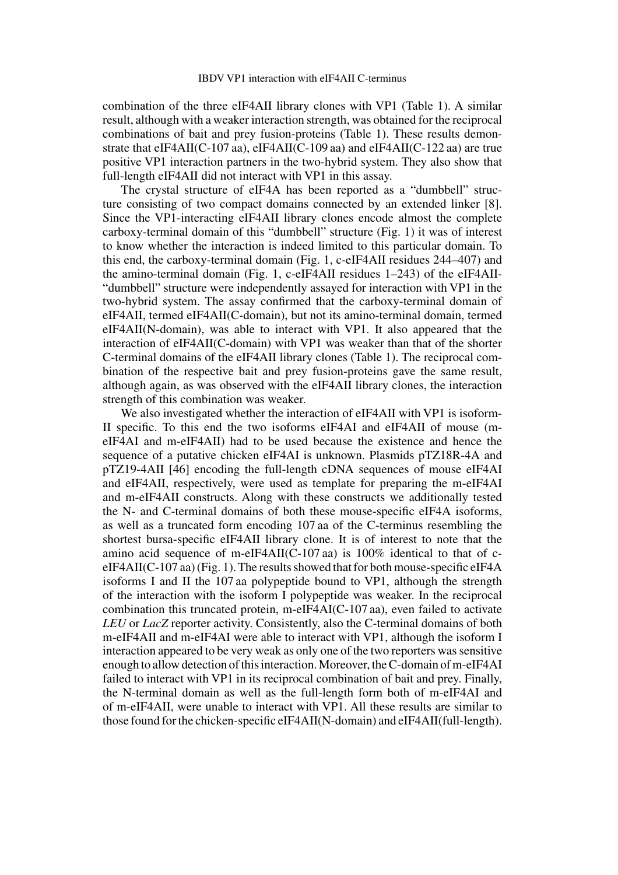combination of the three eIF4AII library clones with VP1 (Table 1). A similar result, although with a weaker interaction strength, was obtained for the reciprocal combinations of bait and prey fusion-proteins (Table 1). These results demonstrate that eIF4AII(C-107 aa), eIF4AII(C-109 aa) and eIF4AII(C-122 aa) are true positive VP1 interaction partners in the two-hybrid system. They also show that full-length eIF4AII did not interact with VP1 in this assay.

The crystal structure of eIF4A has been reported as a "dumbbell" structure consisting of two compact domains connected by an extended linker [8]. Since the VP1-interacting eIF4AII library clones encode almost the complete carboxy-terminal domain of this "dumbbell" structure (Fig. 1) it was of interest to know whether the interaction is indeed limited to this particular domain. To this end, the carboxy-terminal domain (Fig. 1, c-eIF4AII residues 244–407) and the amino-terminal domain (Fig. 1, c-eIF4AII residues 1–243) of the eIF4AII- "dumbbell" structure were independently assayed for interaction with VP1 in the two-hybrid system. The assay confirmed that the carboxy-terminal domain of eIF4AII, termed eIF4AII(C-domain), but not its amino-terminal domain, termed eIF4AII(N-domain), was able to interact with VP1. It also appeared that the interaction of eIF4AII(C-domain) with VP1 was weaker than that of the shorter C-terminal domains of the eIF4AII library clones (Table 1). The reciprocal combination of the respective bait and prey fusion-proteins gave the same result, although again, as was observed with the eIF4AII library clones, the interaction strength of this combination was weaker.

We also investigated whether the interaction of eIF4AII with VP1 is isoform-II specific. To this end the two isoforms eIF4AI and eIF4AII of mouse (meIF4AI and m-eIF4AII) had to be used because the existence and hence the sequence of a putative chicken eIF4AI is unknown. Plasmids pTZ18R-4A and pTZ19-4AII [46] encoding the full-length cDNA sequences of mouse eIF4AI and eIF4AII, respectively, were used as template for preparing the m-eIF4AI and m-eIF4AII constructs. Along with these constructs we additionally tested the N- and C-terminal domains of both these mouse-specific eIF4A isoforms, as well as a truncated form encoding 107 aa of the C-terminus resembling the shortest bursa-specific eIF4AII library clone. It is of interest to note that the amino acid sequence of m-eIF4AII(C-107 aa) is 100% identical to that of ceIF4AII(C-107 aa) (Fig. 1). The results showed that for both mouse-specific eIF4A isoforms I and II the 107 aa polypeptide bound to VP1, although the strength of the interaction with the isoform I polypeptide was weaker. In the reciprocal combination this truncated protein, m-eIF4AI(C-107 aa), even failed to activate *LEU* or *LacZ* reporter activity. Consistently, also the C-terminal domains of both m-eIF4AII and m-eIF4AI were able to interact with VP1, although the isoform I interaction appeared to be very weak as only one of the two reporters was sensitive enough to allow detection of this interaction.Moreover, the C-domain of m-eIF4AI failed to interact with VP1 in its reciprocal combination of bait and prey. Finally, the N-terminal domain as well as the full-length form both of m-eIF4AI and of m-eIF4AII, were unable to interact with VP1. All these results are similar to those found for the chicken-specific eIF4AII(N-domain) and eIF4AII(full-length).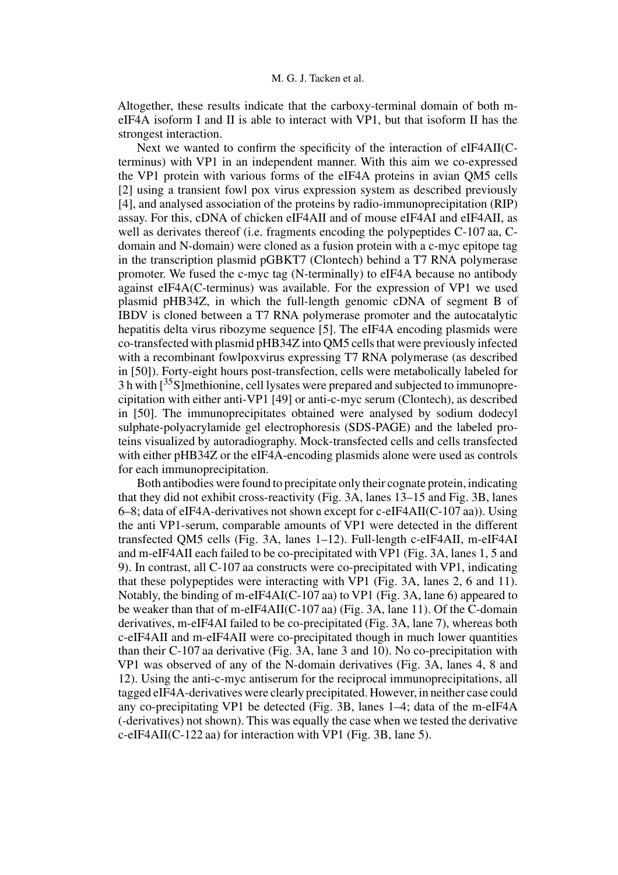Altogether, these results indicate that the carboxy-terminal domain of both meIF4A isoform I and II is able to interact with VP1, but that isoform II has the strongest interaction.

Next we wanted to confirm the specificity of the interaction of eIF4AII(Cterminus) with VP1 in an independent manner. With this aim we co-expressed the VP1 protein with various forms of the eIF4A proteins in avian QM5 cells [2] using a transient fowl pox virus expression system as described previously [4], and analysed association of the proteins by radio-immunoprecipitation (RIP) assay. For this, cDNA of chicken eIF4AII and of mouse eIF4AI and eIF4AII, as well as derivates thereof (i.e. fragments encoding the polypeptides C-107 aa, Cdomain and N-domain) were cloned as a fusion protein with a c-myc epitope tag in the transcription plasmid pGBKT7 (Clontech) behind a T7 RNA polymerase promoter. We fused the c-myc tag (N-terminally) to eIF4A because no antibody against eIF4A(C-terminus) was available. For the expression of VP1 we used plasmid pHB34Z, in which the full-length genomic cDNA of segment B of IBDV is cloned between a T7 RNA polymerase promoter and the autocatalytic hepatitis delta virus ribozyme sequence [5]. The eIF4A encoding plasmids were co-transfected with plasmid pHB34Z into QM5 cells that were previously infected with a recombinant fowlpoxvirus expressing T7 RNA polymerase (as described in [50]). Forty-eight hours post-transfection, cells were metabolically labeled for  $3 h$  with  $\left[35S\right]$  methionine, cell lysates were prepared and subjected to immunoprecipitation with either anti-VP1 [49] or anti-c-myc serum (Clontech), as described in [50]. The immunoprecipitates obtained were analysed by sodium dodecyl sulphate-polyacrylamide gel electrophoresis (SDS-PAGE) and the labeled proteins visualized by autoradiography. Mock-transfected cells and cells transfected with either pHB34Z or the eIF4A-encoding plasmids alone were used as controls for each immunoprecipitation.

Both antibodies were found to precipitate only their cognate protein, indicating that they did not exhibit cross-reactivity (Fig. 3A, lanes 13–15 and Fig. 3B, lanes 6–8; data of eIF4A-derivatives not shown except for c-eIF4AII(C-107 aa)). Using the anti VP1-serum, comparable amounts of VP1 were detected in the different transfected QM5 cells (Fig. 3A, lanes 1–12). Full-length c-eIF4AII, m-eIF4AI and m-eIF4AII each failed to be co-precipitated with VP1 (Fig. 3A, lanes 1, 5 and 9). In contrast, all C-107 aa constructs were co-precipitated with VP1, indicating that these polypeptides were interacting with VP1 (Fig. 3A, lanes 2, 6 and 11). Notably, the binding of m-eIF4AI(C-107 aa) to VP1 (Fig. 3A, lane 6) appeared to be weaker than that of m-eIF4AII(C-107 aa) (Fig. 3A, lane 11). Of the C-domain derivatives, m-eIF4AI failed to be co-precipitated (Fig. 3A, lane 7), whereas both c-eIF4AII and m-eIF4AII were co-precipitated though in much lower quantities than their C-107 aa derivative (Fig. 3A, lane 3 and 10). No co-precipitation with VP1 was observed of any of the N-domain derivatives (Fig. 3A, lanes 4, 8 and 12). Using the anti-c-myc antiserum for the reciprocal immunoprecipitations, all tagged eIF4A-derivatives were clearly precipitated. However, in neither case could any co-precipitating VP1 be detected (Fig. 3B, lanes 1–4; data of the m-eIF4A (-derivatives) not shown). This was equally the case when we tested the derivative c-eIF4AII(C-122 aa) for interaction with VP1 (Fig. 3B, lane 5).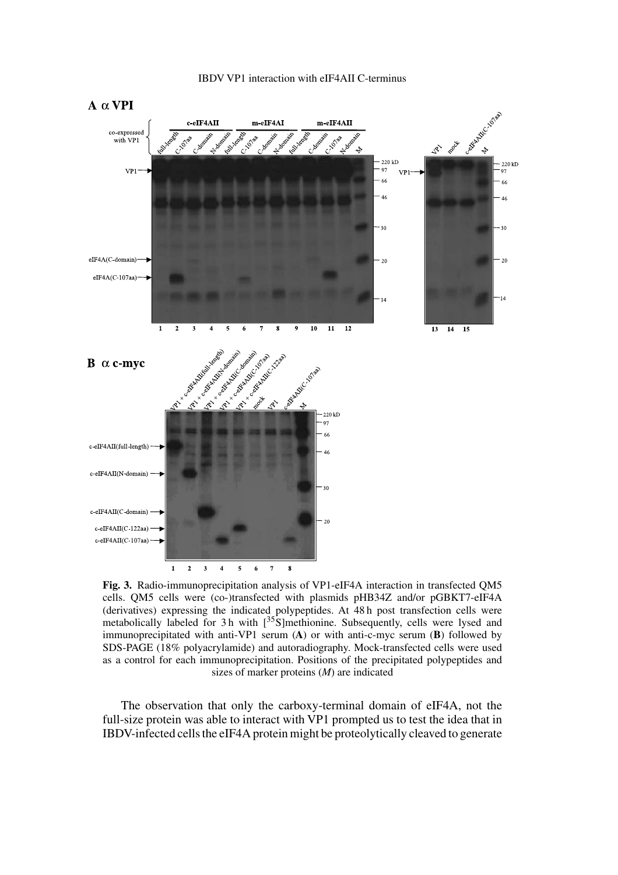



**Fig. 3.** Radio-immunoprecipitation analysis of VP1-eIF4A interaction in transfected QM5 cells. QM5 cells were (co-)transfected with plasmids pHB34Z and/or pGBKT7-eIF4A (derivatives) expressing the indicated polypeptides. At 48 h post transfection cells were metabolically labeled for 3 h with  $[35S]$ methionine. Subsequently, cells were lysed and immunoprecipitated with anti-VP1 serum (**A**) or with anti-c-myc serum (**B**) followed by SDS-PAGE (18% polyacrylamide) and autoradiography. Mock-transfected cells were used as a control for each immunoprecipitation. Positions of the precipitated polypeptides and sizes of marker proteins (*M*) are indicated

The observation that only the carboxy-terminal domain of eIF4A, not the full-size protein was able to interact with VP1 prompted us to test the idea that in IBDV-infected cells the eIF4A protein might be proteolytically cleaved to generate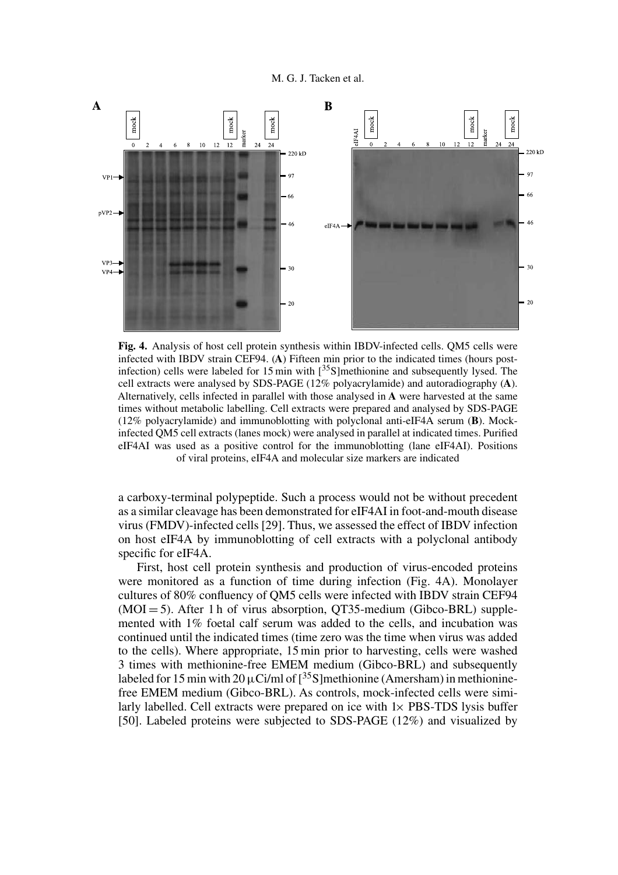

**Fig. 4.** Analysis of host cell protein synthesis within IBDV-infected cells. QM5 cells were infected with IBDV strain CEF94. (**A**) Fifteen min prior to the indicated times (hours postinfection) cells were labeled for 15 min with  $[^{35}S]$ methionine and subsequently lysed. The cell extracts were analysed by SDS-PAGE (12% polyacrylamide) and autoradiography (**A**). Alternatively, cells infected in parallel with those analysed in **A** were harvested at the same times without metabolic labelling. Cell extracts were prepared and analysed by SDS-PAGE (12% polyacrylamide) and immunoblotting with polyclonal anti-eIF4A serum (**B**). Mockinfected QM5 cell extracts (lanes mock) were analysed in parallel at indicated times. Purified eIF4AI was used as a positive control for the immunoblotting (lane eIF4AI). Positions of viral proteins, eIF4A and molecular size markers are indicated

a carboxy-terminal polypeptide. Such a process would not be without precedent as a similar cleavage has been demonstrated for eIF4AI in foot-and-mouth disease virus (FMDV)-infected cells [29]. Thus, we assessed the effect of IBDV infection on host eIF4A by immunoblotting of cell extracts with a polyclonal antibody specific for eIF4A.

First, host cell protein synthesis and production of virus-encoded proteins were monitored as a function of time during infection (Fig. 4A). Monolayer cultures of 80% confluency of QM5 cells were infected with IBDV strain CEF94  $(MOI = 5)$ . After 1 h of virus absorption, QT35-medium (Gibco-BRL) supplemented with 1% foetal calf serum was added to the cells, and incubation was continued until the indicated times (time zero was the time when virus was added to the cells). Where appropriate, 15 min prior to harvesting, cells were washed 3 times with methionine-free EMEM medium (Gibco-BRL) and subsequently labeled for 15 min with 20  $\mu$ Ci/ml of  $\lceil$ <sup>35</sup>S]methionine (Amersham) in methioninefree EMEM medium (Gibco-BRL). As controls, mock-infected cells were similarly labelled. Cell extracts were prepared on ice with  $1\times$  PBS-TDS lysis buffer [50]. Labeled proteins were subjected to SDS-PAGE (12%) and visualized by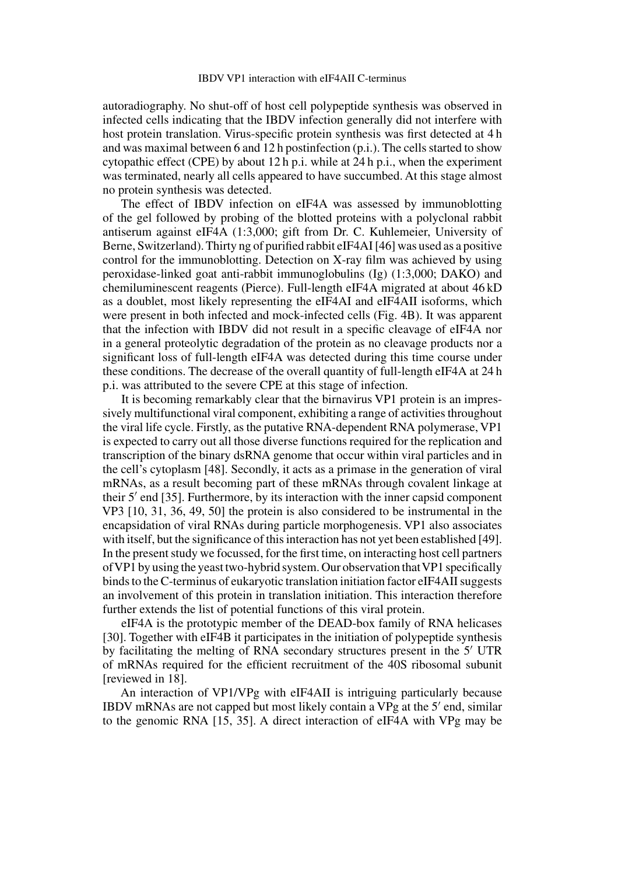autoradiography. No shut-off of host cell polypeptide synthesis was observed in infected cells indicating that the IBDV infection generally did not interfere with host protein translation. Virus-specific protein synthesis was first detected at 4 h and was maximal between 6 and 12 h postinfection (p.i.). The cells started to show cytopathic effect (CPE) by about 12 h p.i. while at 24 h p.i., when the experiment was terminated, nearly all cells appeared to have succumbed. At this stage almost no protein synthesis was detected.

The effect of IBDV infection on eIF4A was assessed by immunoblotting of the gel followed by probing of the blotted proteins with a polyclonal rabbit antiserum against eIF4A (1:3,000; gift from Dr. C. Kuhlemeier, University of Berne, Switzerland). Thirty ng of purified rabbit eIF4AI [46] was used as a positive control for the immunoblotting. Detection on X-ray film was achieved by using peroxidase-linked goat anti-rabbit immunoglobulins (Ig) (1:3,000; DAKO) and chemiluminescent reagents (Pierce). Full-length eIF4A migrated at about 46 kD as a doublet, most likely representing the eIF4AI and eIF4AII isoforms, which were present in both infected and mock-infected cells (Fig. 4B). It was apparent that the infection with IBDV did not result in a specific cleavage of eIF4A nor in a general proteolytic degradation of the protein as no cleavage products nor a significant loss of full-length eIF4A was detected during this time course under these conditions. The decrease of the overall quantity of full-length eIF4A at 24 h p.i. was attributed to the severe CPE at this stage of infection.

It is becoming remarkably clear that the birnavirus VP1 protein is an impressively multifunctional viral component, exhibiting a range of activities throughout the viral life cycle. Firstly, as the putative RNA-dependent RNA polymerase, VP1 is expected to carry out all those diverse functions required for the replication and transcription of the binary dsRNA genome that occur within viral particles and in the cell's cytoplasm [48]. Secondly, it acts as a primase in the generation of viral mRNAs, as a result becoming part of these mRNAs through covalent linkage at their  $5'$  end [35]. Furthermore, by its interaction with the inner capsid component VP3 [10, 31, 36, 49, 50] the protein is also considered to be instrumental in the encapsidation of viral RNAs during particle morphogenesis. VP1 also associates with itself, but the significance of this interaction has not yet been established [49]. In the present study we focussed, for the first time, on interacting host cell partners ofVP1 by using the yeast two-hybrid system. Our observation thatVP1 specifically binds to the C-terminus of eukaryotic translation initiation factor eIF4AII suggests an involvement of this protein in translation initiation. This interaction therefore further extends the list of potential functions of this viral protein.

eIF4A is the prototypic member of the DEAD-box family of RNA helicases [30]. Together with eIF4B it participates in the initiation of polypeptide synthesis by facilitating the melting of RNA secondary structures present in the 5' UTR of mRNAs required for the efficient recruitment of the 40S ribosomal subunit [reviewed in 18].

An interaction of VP1/VPg with eIF4AII is intriguing particularly because IBDV mRNAs are not capped but most likely contain a  $VPg$  at the  $5'$  end, similar to the genomic RNA [15, 35]. A direct interaction of eIF4A with VPg may be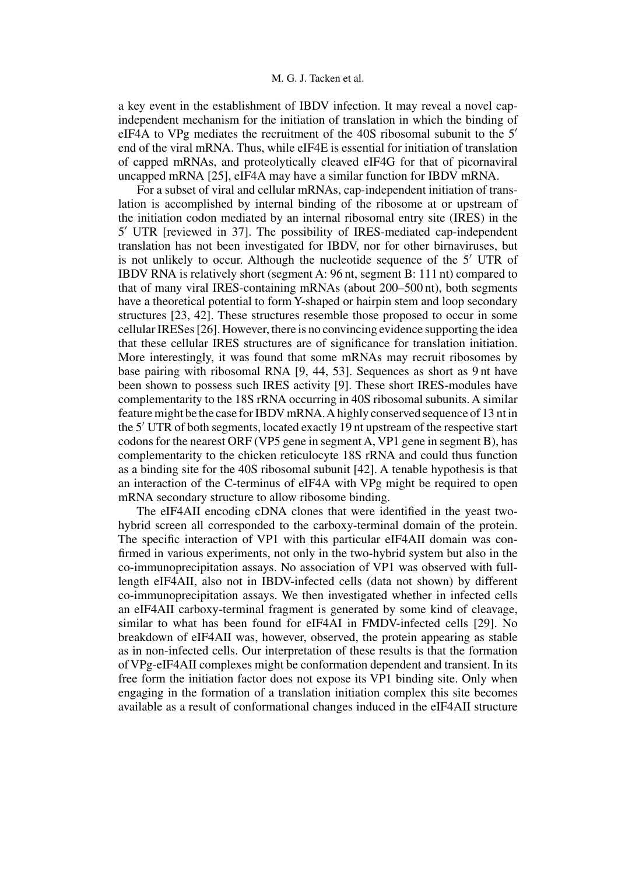a key event in the establishment of IBDV infection. It may reveal a novel capindependent mechanism for the initiation of translation in which the binding of eIF4A to VPg mediates the recruitment of the 40S ribosomal subunit to the 5 end of the viral mRNA. Thus, while eIF4E is essential for initiation of translation of capped mRNAs, and proteolytically cleaved eIF4G for that of picornaviral uncapped mRNA [25], eIF4A may have a similar function for IBDV mRNA.

For a subset of viral and cellular mRNAs, cap-independent initiation of translation is accomplished by internal binding of the ribosome at or upstream of the initiation codon mediated by an internal ribosomal entry site (IRES) in the 5 UTR [reviewed in 37]. The possibility of IRES-mediated cap-independent translation has not been investigated for IBDV, nor for other birnaviruses, but is not unlikely to occur. Although the nucleotide sequence of the 5' UTR of IBDV RNA is relatively short (segment A: 96 nt, segment B: 111 nt) compared to that of many viral IRES-containing mRNAs (about 200–500 nt), both segments have a theoretical potential to form Y-shaped or hairpin stem and loop secondary structures [23, 42]. These structures resemble those proposed to occur in some cellular IRESes [26]. However, there is no convincing evidence supporting the idea that these cellular IRES structures are of significance for translation initiation. More interestingly, it was found that some mRNAs may recruit ribosomes by base pairing with ribosomal RNA [9, 44, 53]. Sequences as short as 9 nt have been shown to possess such IRES activity [9]. These short IRES-modules have complementarity to the 18S rRNA occurring in 40S ribosomal subunits. A similar feature might be the case for IBDV mRNA.A highly conserved sequence of 13 nt in the 5' UTR of both segments, located exactly 19 nt upstream of the respective start codons for the nearest ORF (VP5 gene in segment A, VP1 gene in segment B), has complementarity to the chicken reticulocyte 18S rRNA and could thus function as a binding site for the 40S ribosomal subunit [42]. A tenable hypothesis is that an interaction of the C-terminus of eIF4A with VPg might be required to open mRNA secondary structure to allow ribosome binding.

The eIF4AII encoding cDNA clones that were identified in the yeast twohybrid screen all corresponded to the carboxy-terminal domain of the protein. The specific interaction of VP1 with this particular eIF4AII domain was confirmed in various experiments, not only in the two-hybrid system but also in the co-immunoprecipitation assays. No association of VP1 was observed with fulllength eIF4AII, also not in IBDV-infected cells (data not shown) by different co-immunoprecipitation assays. We then investigated whether in infected cells an eIF4AII carboxy-terminal fragment is generated by some kind of cleavage, similar to what has been found for eIF4AI in FMDV-infected cells [29]. No breakdown of eIF4AII was, however, observed, the protein appearing as stable as in non-infected cells. Our interpretation of these results is that the formation of VPg-eIF4AII complexes might be conformation dependent and transient. In its free form the initiation factor does not expose its VP1 binding site. Only when engaging in the formation of a translation initiation complex this site becomes available as a result of conformational changes induced in the eIF4AII structure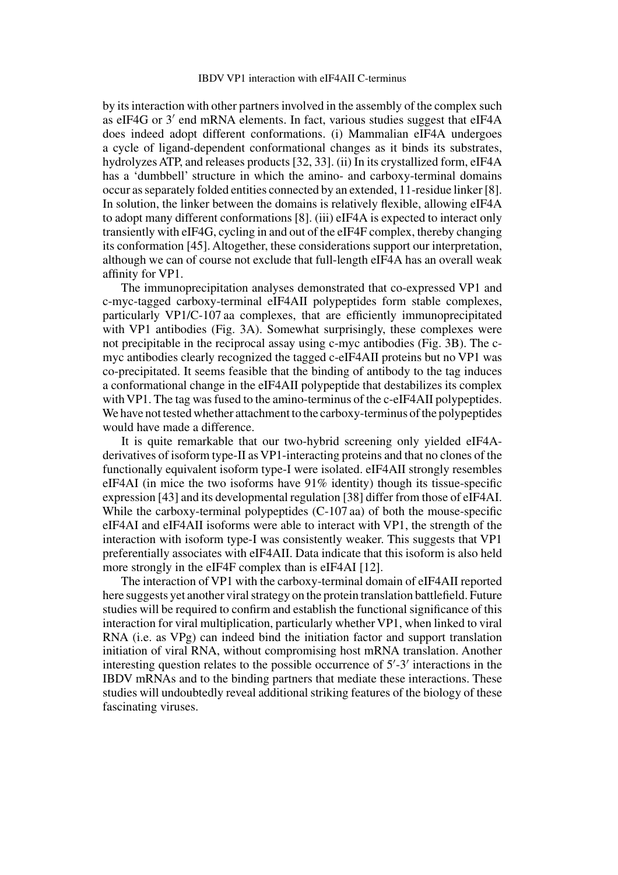by its interaction with other partners involved in the assembly of the complex such as eIF4G or  $3'$  end mRNA elements. In fact, various studies suggest that eIF4A does indeed adopt different conformations. (i) Mammalian eIF4A undergoes a cycle of ligand-dependent conformational changes as it binds its substrates, hydrolyzes ATP, and releases products [32, 33]. (ii) In its crystallized form, eIF4A has a 'dumbbell' structure in which the amino- and carboxy-terminal domains occur as separately folded entities connected by an extended, 11-residue linker [8]. In solution, the linker between the domains is relatively flexible, allowing eIF4A to adopt many different conformations [8]. (iii) eIF4A is expected to interact only transiently with eIF4G, cycling in and out of the eIF4F complex, thereby changing its conformation [45]. Altogether, these considerations support our interpretation, although we can of course not exclude that full-length eIF4A has an overall weak affinity for VP1.

The immunoprecipitation analyses demonstrated that co-expressed VP1 and c-myc-tagged carboxy-terminal eIF4AII polypeptides form stable complexes, particularly VP1/C-107 aa complexes, that are efficiently immunoprecipitated with VP1 antibodies (Fig. 3A). Somewhat surprisingly, these complexes were not precipitable in the reciprocal assay using c-myc antibodies (Fig. 3B). The cmyc antibodies clearly recognized the tagged c-eIF4AII proteins but no VP1 was co-precipitated. It seems feasible that the binding of antibody to the tag induces a conformational change in the eIF4AII polypeptide that destabilizes its complex with VP1. The tag was fused to the amino-terminus of the c-eIF4AII polypeptides. We have not tested whether attachment to the carboxy-terminus of the polypeptides would have made a difference.

It is quite remarkable that our two-hybrid screening only yielded eIF4Aderivatives of isoform type-II as VP1-interacting proteins and that no clones of the functionally equivalent isoform type-I were isolated. eIF4AII strongly resembles eIF4AI (in mice the two isoforms have 91% identity) though its tissue-specific expression [43] and its developmental regulation [38] differ from those of eIF4AI. While the carboxy-terminal polypeptides (C-107 aa) of both the mouse-specific eIF4AI and eIF4AII isoforms were able to interact with VP1, the strength of the interaction with isoform type-I was consistently weaker. This suggests that VP1 preferentially associates with eIF4AII. Data indicate that this isoform is also held more strongly in the eIF4F complex than is eIF4AI [12].

The interaction of VP1 with the carboxy-terminal domain of eIF4AII reported here suggests yet another viral strategy on the protein translation battlefield. Future studies will be required to confirm and establish the functional significance of this interaction for viral multiplication, particularly whether VP1, when linked to viral RNA (i.e. as VPg) can indeed bind the initiation factor and support translation initiation of viral RNA, without compromising host mRNA translation. Another interesting question relates to the possible occurrence of  $5'$ -3' interactions in the IBDV mRNAs and to the binding partners that mediate these interactions. These studies will undoubtedly reveal additional striking features of the biology of these fascinating viruses.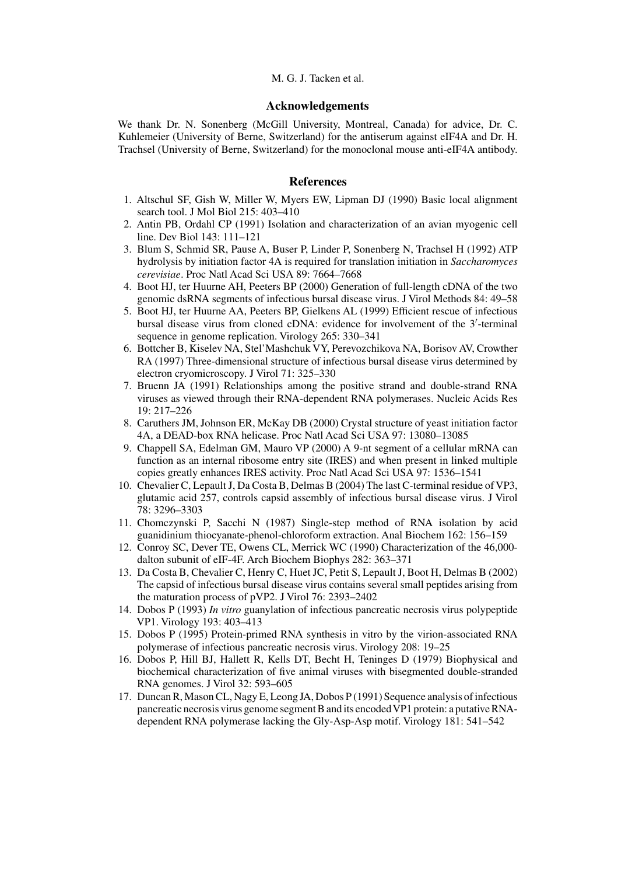# M. G. J. Tacken et al.

# **Acknowledgements**

We thank Dr. N. Sonenberg (McGill University, Montreal, Canada) for advice, Dr. C. Kuhlemeier (University of Berne, Switzerland) for the antiserum against eIF4A and Dr. H. Trachsel (University of Berne, Switzerland) for the monoclonal mouse anti-eIF4A antibody.

# **References**

- 1. Altschul SF, Gish W, Miller W, Myers EW, Lipman DJ (1990) Basic local alignment search tool. J Mol Biol 215: 403–410
- 2. Antin PB, Ordahl CP (1991) Isolation and characterization of an avian myogenic cell line. Dev Biol 143: 111–121
- 3. Blum S, Schmid SR, Pause A, Buser P, Linder P, Sonenberg N, Trachsel H (1992) ATP hydrolysis by initiation factor 4A is required for translation initiation in *Saccharomyces cerevisiae*. Proc Natl Acad Sci USA 89: 7664–7668
- 4. Boot HJ, ter Huurne AH, Peeters BP (2000) Generation of full-length cDNA of the two genomic dsRNA segments of infectious bursal disease virus. J Virol Methods 84: 49–58
- 5. Boot HJ, ter Huurne AA, Peeters BP, Gielkens AL (1999) Efficient rescue of infectious bursal disease virus from cloned cDNA: evidence for involvement of the 3 -terminal sequence in genome replication. Virology 265: 330–341
- 6. Bottcher B, Kiselev NA, Stel'Mashchuk VY, Perevozchikova NA, Borisov AV, Crowther RA (1997) Three-dimensional structure of infectious bursal disease virus determined by electron cryomicroscopy. J Virol 71: 325–330
- 7. Bruenn JA (1991) Relationships among the positive strand and double-strand RNA viruses as viewed through their RNA-dependent RNA polymerases. Nucleic Acids Res 19: 217–226
- 8. Caruthers JM, Johnson ER, McKay DB (2000) Crystal structure of yeast initiation factor 4A, a DEAD-box RNA helicase. Proc Natl Acad Sci USA 97: 13080–13085
- 9. Chappell SA, Edelman GM, Mauro VP (2000) A 9-nt segment of a cellular mRNA can function as an internal ribosome entry site (IRES) and when present in linked multiple copies greatly enhances IRES activity. Proc Natl Acad Sci USA 97: 1536–1541
- 10. Chevalier C, Lepault J, Da Costa B, Delmas B (2004) The last C-terminal residue of VP3, glutamic acid 257, controls capsid assembly of infectious bursal disease virus. J Virol 78: 3296–3303
- 11. Chomczynski P, Sacchi N (1987) Single-step method of RNA isolation by acid guanidinium thiocyanate-phenol-chloroform extraction. Anal Biochem 162: 156–159
- 12. Conroy SC, Dever TE, Owens CL, Merrick WC (1990) Characterization of the 46,000 dalton subunit of eIF-4F. Arch Biochem Biophys 282: 363–371
- 13. Da Costa B, Chevalier C, Henry C, Huet JC, Petit S, Lepault J, Boot H, Delmas B (2002) The capsid of infectious bursal disease virus contains several small peptides arising from the maturation process of pVP2. J Virol 76: 2393–2402
- 14. Dobos P (1993) *In vitro* guanylation of infectious pancreatic necrosis virus polypeptide VP1. Virology 193: 403–413
- 15. Dobos P (1995) Protein-primed RNA synthesis in vitro by the virion-associated RNA polymerase of infectious pancreatic necrosis virus. Virology 208: 19–25
- 16. Dobos P, Hill BJ, Hallett R, Kells DT, Becht H, Teninges D (1979) Biophysical and biochemical characterization of five animal viruses with bisegmented double-stranded RNA genomes. J Virol 32: 593–605
- 17. Duncan R, Mason CL, Nagy E, Leong JA, Dobos P (1991) Sequence analysis of infectious pancreatic necrosis virus genome segment B and its encodedVP1 protein: a putative RNAdependent RNA polymerase lacking the Gly-Asp-Asp motif. Virology 181: 541–542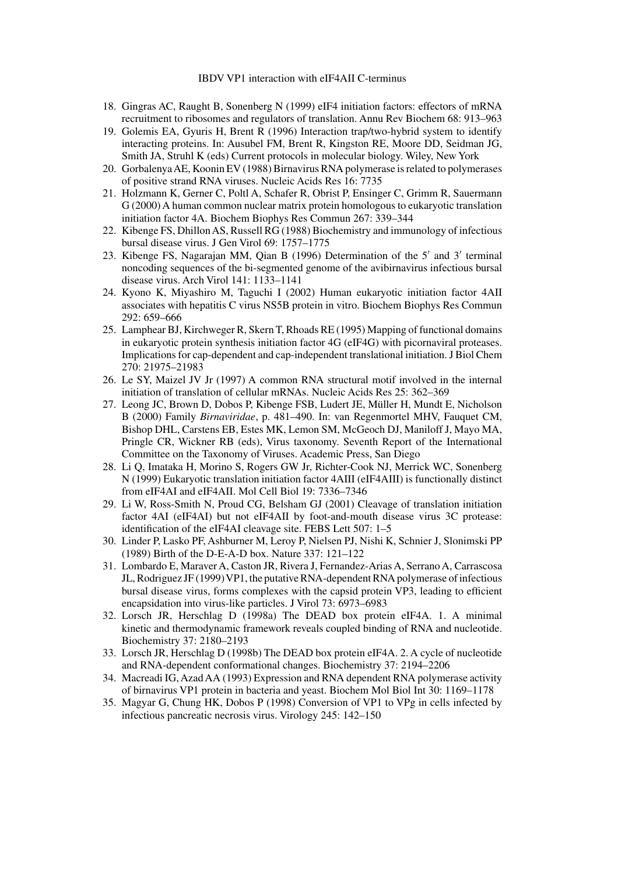- 18. Gingras AC, Raught B, Sonenberg N (1999) eIF4 initiation factors: effectors of mRNA recruitment to ribosomes and regulators of translation. Annu Rev Biochem 68: 913–963
- 19. Golemis EA, Gyuris H, Brent R (1996) Interaction trap/two-hybrid system to identify interacting proteins. In: Ausubel FM, Brent R, Kingston RE, Moore DD, Seidman JG, Smith JA, Struhl K (eds) Current protocols in molecular biology. Wiley, New York
- 20. GorbalenyaAE, Koonin EV (1988) Birnavirus RNA polymerase is related to polymerases of positive strand RNA viruses. Nucleic Acids Res 16: 7735
- 21. Holzmann K, Gerner C, Poltl A, Schafer R, Obrist P, Ensinger C, Grimm R, Sauermann G (2000) A human common nuclear matrix protein homologous to eukaryotic translation initiation factor 4A. Biochem Biophys Res Commun 267: 339–344
- 22. Kibenge FS, Dhillon AS, Russell RG (1988) Biochemistry and immunology of infectious bursal disease virus. J Gen Virol 69: 1757–1775
- 23. Kibenge FS, Nagarajan MM, Qian B (1996) Determination of the 5' and 3' terminal noncoding sequences of the bi-segmented genome of the avibirnavirus infectious bursal disease virus. Arch Virol 141: 1133–1141
- 24. Kyono K, Miyashiro M, Taguchi I (2002) Human eukaryotic initiation factor 4AII associates with hepatitis C virus NS5B protein in vitro. Biochem Biophys Res Commun 292: 659–666
- 25. Lamphear BJ, Kirchweger R, Skern T, Rhoads RE (1995) Mapping of functional domains in eukaryotic protein synthesis initiation factor 4G (eIF4G) with picornaviral proteases. Implications for cap-dependent and cap-independent translational initiation. J Biol Chem 270: 21975–21983
- 26. Le SY, Maizel JV Jr (1997) A common RNA structural motif involved in the internal initiation of translation of cellular mRNAs. Nucleic Acids Res 25: 362–369
- 27. Leong JC, Brown D, Dobos P, Kibenge FSB, Ludert JE, Müller H, Mundt E, Nicholson B (2000) Family *Birnaviridae*, p. 481–490. In: van Regenmortel MHV, Fauquet CM, Bishop DHL, Carstens EB, Estes MK, Lemon SM, McGeoch DJ, Maniloff J, Mayo MA, Pringle CR, Wickner RB (eds), Virus taxonomy. Seventh Report of the International Committee on the Taxonomy of Viruses. Academic Press, San Diego
- 28. Li Q, Imataka H, Morino S, Rogers GW Jr, Richter-Cook NJ, Merrick WC, Sonenberg N (1999) Eukaryotic translation initiation factor 4AIII (eIF4AIII) is functionally distinct from eIF4AI and eIF4AII. Mol Cell Biol 19: 7336–7346
- 29. Li W, Ross-Smith N, Proud CG, Belsham GJ (2001) Cleavage of translation initiation factor 4AI (eIF4AI) but not eIF4AII by foot-and-mouth disease virus 3C protease: identification of the eIF4AI cleavage site. FEBS Lett 507: 1–5
- 30. Linder P, Lasko PF, Ashburner M, Leroy P, Nielsen PJ, Nishi K, Schnier J, Slonimski PP (1989) Birth of the D-E-A-D box. Nature 337: 121–122
- 31. Lombardo E, Maraver A, Caston JR, Rivera J, Fernandez-Arias A, Serrano A, Carrascosa JL, Rodriguez JF (1999) VP1, the putative RNA-dependent RNA polymerase of infectious bursal disease virus, forms complexes with the capsid protein VP3, leading to efficient encapsidation into virus-like particles. J Virol 73: 6973–6983
- 32. Lorsch JR, Herschlag D (1998a) The DEAD box protein eIF4A. 1. A minimal kinetic and thermodynamic framework reveals coupled binding of RNA and nucleotide. Biochemistry 37: 2180–2193
- 33. Lorsch JR, Herschlag D (1998b) The DEAD box protein eIF4A. 2. A cycle of nucleotide and RNA-dependent conformational changes. Biochemistry 37: 2194–2206
- 34. Macreadi IG, Azad AA (1993) Expression and RNA dependent RNA polymerase activity of birnavirus VP1 protein in bacteria and yeast. Biochem Mol Biol Int 30: 1169–1178
- 35. Magyar G, Chung HK, Dobos P (1998) Conversion of VP1 to VPg in cells infected by infectious pancreatic necrosis virus. Virology 245: 142–150